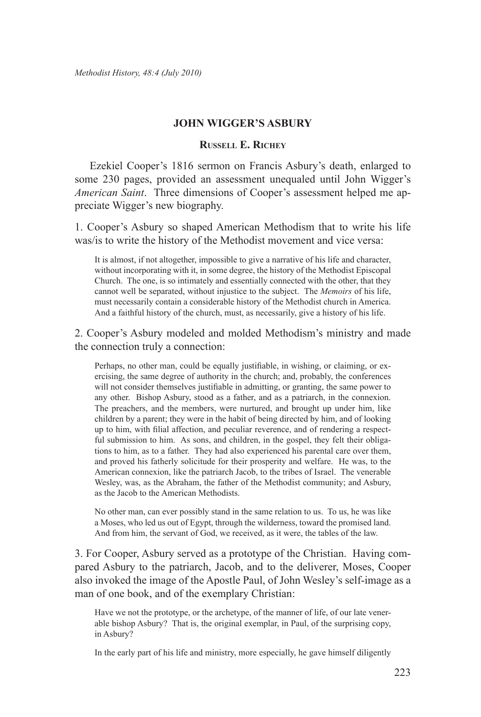# **John Wigger's Asbury**

# **Russell E. Richey**

Ezekiel Cooper's 1816 sermon on Francis Asbury's death, enlarged to some 230 pages, provided an assessment unequaled until John Wigger's *American Saint*. Three dimensions of Cooper's assessment helped me appreciate Wigger's new biography.

1. Cooper's Asbury so shaped American Methodism that to write his life was/is to write the history of the Methodist movement and vice versa:

It is almost, if not altogether, impossible to give a narrative of his life and character, without incorporating with it, in some degree, the history of the Methodist Episcopal Church. The one, is so intimately and essentially connected with the other, that they cannot well be separated, without injustice to the subject. The *Memoirs* of his life, must necessarily contain a considerable history of the Methodist church in America. And a faithful history of the church, must, as necessarily, give a history of his life.

2. Cooper's Asbury modeled and molded Methodism's ministry and made the connection truly a connection:

Perhaps, no other man, could be equally justifiable, in wishing, or claiming, or exercising, the same degree of authority in the church; and, probably, the conferences will not consider themselves justifiable in admitting, or granting, the same power to any other. Bishop Asbury, stood as a father, and as a patriarch, in the connexion. The preachers, and the members, were nurtured, and brought up under him, like children by a parent; they were in the habit of being directed by him, and of looking up to him, with filial affection, and peculiar reverence, and of rendering a respectful submission to him. As sons, and children, in the gospel, they felt their obligations to him, as to a father. They had also experienced his parental care over them, and proved his fatherly solicitude for their prosperity and welfare. He was, to the American connexion, like the patriarch Jacob, to the tribes of Israel. The venerable Wesley, was, as the Abraham, the father of the Methodist community; and Asbury, as the Jacob to the American Methodists.

No other man, can ever possibly stand in the same relation to us. To us, he was like a Moses, who led us out of Egypt, through the wilderness, toward the promised land. And from him, the servant of God, we received, as it were, the tables of the law.

3. For Cooper, Asbury served as a prototype of the Christian. Having compared Asbury to the patriarch, Jacob, and to the deliverer, Moses, Cooper also invoked the image of the Apostle Paul, of John Wesley's self-image as a man of one book, and of the exemplary Christian:

Have we not the prototype, or the archetype, of the manner of life, of our late venerable bishop Asbury? That is, the original exemplar, in Paul, of the surprising copy, in Asbury?

In the early part of his life and ministry, more especially, he gave himself diligently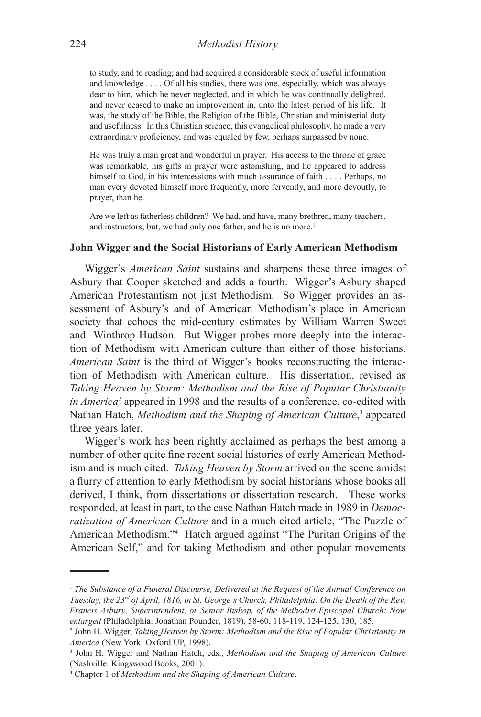to study, and to reading; and had acquired a considerable stock of useful information and knowledge . . . . Of all his studies, there was one, especially, which was always dear to him, which he never neglected, and in which he was continually delighted, and never ceased to make an improvement in, unto the latest period of his life. It was, the study of the Bible, the Religion of the Bible, Christian and ministerial duty and usefulness. In this Christian science, this evangelical philosophy, he made a very extraordinary proficiency, and was equaled by few, perhaps surpassed by none.

He was truly a man great and wonderful in prayer. His access to the throne of grace was remarkable, his gifts in prayer were astonishing, and he appeared to address himself to God, in his intercessions with much assurance of faith . . . . Perhaps, no man every devoted himself more frequently, more fervently, and more devoutly, to prayer, than he.

Are we left as fatherless children? We had, and have, many brethren, many teachers, and instructors; but, we had only one father, and he is no more.<sup>1</sup>

#### **John Wigger and the Social Historians of Early American Methodism**

Wigger's *American Saint* sustains and sharpens these three images of Asbury that Cooper sketched and adds a fourth. Wigger's Asbury shaped American Protestantism not just Methodism. So Wigger provides an assessment of Asbury's and of American Methodism's place in American society that echoes the mid-century estimates by William Warren Sweet and Winthrop Hudson. But Wigger probes more deeply into the interaction of Methodism with American culture than either of those historians. *American Saint* is the third of Wigger's books reconstructing the interaction of Methodism with American culture. His dissertation, revised as *Taking Heaven by Storm: Methodism and the Rise of Popular Christianity*  in America<sup>2</sup> appeared in 1998 and the results of a conference, co-edited with Nathan Hatch, Methodism and the Shaping of American Culture,<sup>3</sup> appeared three years later.

Wigger's work has been rightly acclaimed as perhaps the best among a number of other quite fine recent social histories of early American Methodism and is much cited. *Taking Heaven by Storm* arrived on the scene amidst a flurry of attention to early Methodism by social historians whose books all derived, I think, from dissertations or dissertation research. These works responded, at least in part, to the case Nathan Hatch made in 1989 in *Democratization of American Culture* and in a much cited article, "The Puzzle of American Methodism."4 Hatch argued against "The Puritan Origins of the American Self," and for taking Methodism and other popular movements

<sup>1</sup> *The Substance of a Funeral Discourse, Delivered at the Request of the Annual Conference on Tuesday, the 23rd of April, 1816, in St. George's Church, Philadelphia: On the Death of the Rev. Francis Asbury, Superintendent, or Senior Bishop, of the Methodist Episcopal Church: Now enlarged* (Philadelphia: Jonathan Pounder, 1819), 58-60, 118-119, 124-125, 130, 185.

<sup>2</sup> John H. Wigger, *Taking Heaven by Storm: Methodism and the Rise of Popular Christianity in America* (New York: Oxford UP, 1998).

<sup>3</sup> John H. Wigger and Nathan Hatch, eds., *Methodism and the Shaping of American Culture* (Nashville: Kingswood Books, 2001).

<sup>4</sup> Chapter 1 of *Methodism and the Shaping of American Culture*.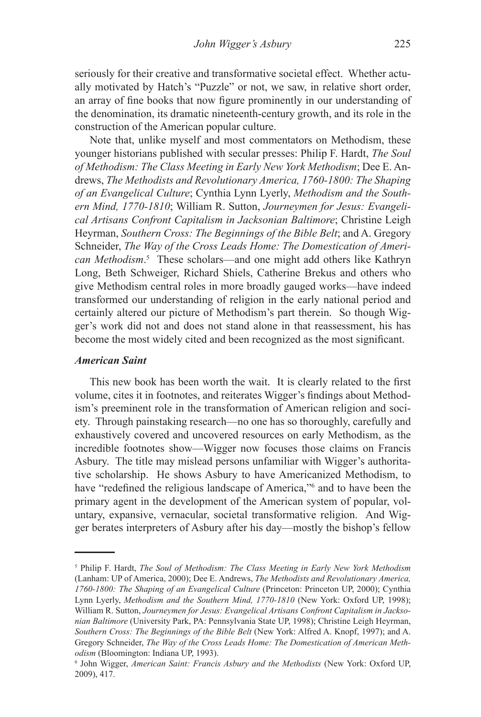seriously for their creative and transformative societal effect. Whether actually motivated by Hatch's "Puzzle" or not, we saw, in relative short order, an array of fine books that now figure prominently in our understanding of the denomination, its dramatic nineteenth-century growth, and its role in the construction of the American popular culture.

Note that, unlike myself and most commentators on Methodism, these younger historians published with secular presses: Philip F. Hardt, *The Soul of Methodism: The Class Meeting in Early New York Methodism*; Dee E. Andrews, *The Methodists and Revolutionary America, 1760-1800: The Shaping of an Evangelical Culture*; Cynthia Lynn Lyerly, *Methodism and the Southern Mind, 1770-1810*; William R. Sutton, *Journeymen for Jesus: Evangelical Artisans Confront Capitalism in Jacksonian Baltimore*; Christine Leigh Heyrman, *Southern Cross: The Beginnings of the Bible Belt*; and A. Gregory Schneider, *The Way of the Cross Leads Home: The Domestication of American Methodism*. 5 These scholars—and one might add others like Kathryn Long, Beth Schweiger, Richard Shiels, Catherine Brekus and others who give Methodism central roles in more broadly gauged works—have indeed transformed our understanding of religion in the early national period and certainly altered our picture of Methodism's part therein. So though Wigger's work did not and does not stand alone in that reassessment, his has become the most widely cited and been recognized as the most significant.

# *American Saint*

This new book has been worth the wait. It is clearly related to the first volume, cites it in footnotes, and reiterates Wigger's findings about Methodism's preeminent role in the transformation of American religion and society. Through painstaking research—no one has so thoroughly, carefully and exhaustively covered and uncovered resources on early Methodism, as the incredible footnotes show—Wigger now focuses those claims on Francis Asbury. The title may mislead persons unfamiliar with Wigger's authoritative scholarship. He shows Asbury to have Americanized Methodism, to have "redefined the religious landscape of America,"<sup>6</sup> and to have been the primary agent in the development of the American system of popular, voluntary, expansive, vernacular, societal transformative religion. And Wigger berates interpreters of Asbury after his day—mostly the bishop's fellow

<sup>5</sup> Philip F. Hardt, *The Soul of Methodism: The Class Meeting in Early New York Methodism* (Lanham: UP of America, 2000); Dee E. Andrews, *The Methodists and Revolutionary America, 1760-1800: The Shaping of an Evangelical Culture* (Princeton: Princeton UP, 2000); Cynthia Lynn Lyerly, *Methodism and the Southern Mind, 1770-1810* (New York: Oxford UP, 1998); William R. Sutton, *Journeymen for Jesus: Evangelical Artisans Confront Capitalism in Jacksonian Baltimore* (University Park, PA: Pennsylvania State UP, 1998); Christine Leigh Heyrman, *Southern Cross: The Beginnings of the Bible Belt* (New York: Alfred A. Knopf, 1997); and A. Gregory Schneider, *The Way of the Cross Leads Home: The Domestication of American Methodism* (Bloomington: Indiana UP, 1993).

John Wigger, *American Saint: Francis Asbury and the Methodists* (New York: Oxford UP, 2009), 417.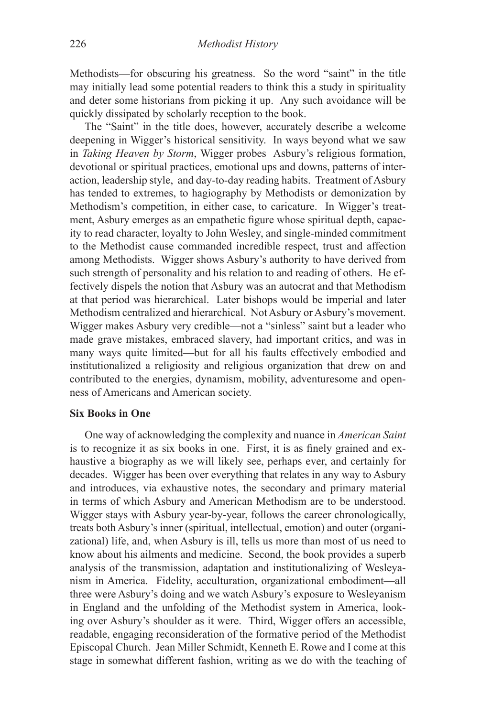Methodists—for obscuring his greatness. So the word "saint" in the title may initially lead some potential readers to think this a study in spirituality and deter some historians from picking it up. Any such avoidance will be quickly dissipated by scholarly reception to the book.

The "Saint" in the title does, however, accurately describe a welcome deepening in Wigger's historical sensitivity. In ways beyond what we saw in *Taking Heaven by Storm*, Wigger probes Asbury's religious formation, devotional or spiritual practices, emotional ups and downs, patterns of interaction, leadership style, and day-to-day reading habits. Treatment of Asbury has tended to extremes, to hagiography by Methodists or demonization by Methodism's competition, in either case, to caricature. In Wigger's treatment, Asbury emerges as an empathetic figure whose spiritual depth, capacity to read character, loyalty to John Wesley, and single-minded commitment to the Methodist cause commanded incredible respect, trust and affection among Methodists. Wigger shows Asbury's authority to have derived from such strength of personality and his relation to and reading of others. He effectively dispels the notion that Asbury was an autocrat and that Methodism at that period was hierarchical. Later bishops would be imperial and later Methodism centralized and hierarchical. Not Asbury or Asbury's movement. Wigger makes Asbury very credible—not a "sinless" saint but a leader who made grave mistakes, embraced slavery, had important critics, and was in many ways quite limited—but for all his faults effectively embodied and institutionalized a religiosity and religious organization that drew on and contributed to the energies, dynamism, mobility, adventuresome and openness of Americans and American society.

# **Six Books in One**

One way of acknowledging the complexity and nuance in *American Saint* is to recognize it as six books in one. First, it is as finely grained and exhaustive a biography as we will likely see, perhaps ever, and certainly for decades. Wigger has been over everything that relates in any way to Asbury and introduces, via exhaustive notes, the secondary and primary material in terms of which Asbury and American Methodism are to be understood. Wigger stays with Asbury year-by-year, follows the career chronologically, treats both Asbury's inner (spiritual, intellectual, emotion) and outer (organizational) life, and, when Asbury is ill, tells us more than most of us need to know about his ailments and medicine. Second, the book provides a superb analysis of the transmission, adaptation and institutionalizing of Wesleyanism in America. Fidelity, acculturation, organizational embodiment—all three were Asbury's doing and we watch Asbury's exposure to Wesleyanism in England and the unfolding of the Methodist system in America, looking over Asbury's shoulder as it were. Third, Wigger offers an accessible, readable, engaging reconsideration of the formative period of the Methodist Episcopal Church. Jean Miller Schmidt, Kenneth E. Rowe and I come at this stage in somewhat different fashion, writing as we do with the teaching of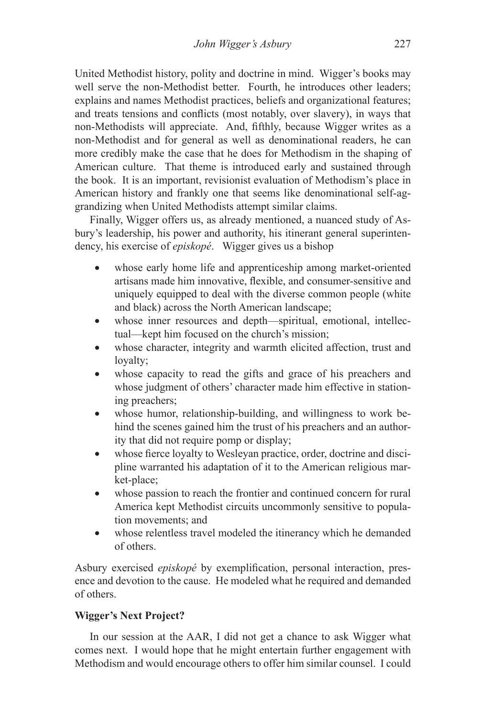United Methodist history, polity and doctrine in mind. Wigger's books may well serve the non-Methodist better. Fourth, he introduces other leaders; explains and names Methodist practices, beliefs and organizational features; and treats tensions and conflicts (most notably, over slavery), in ways that non-Methodists will appreciate. And, fifthly, because Wigger writes as a non-Methodist and for general as well as denominational readers, he can more credibly make the case that he does for Methodism in the shaping of American culture. That theme is introduced early and sustained through the book. It is an important, revisionist evaluation of Methodism's place in American history and frankly one that seems like denominational self-aggrandizing when United Methodists attempt similar claims.

Finally, Wigger offers us, as already mentioned, a nuanced study of Asbury's leadership, his power and authority, his itinerant general superintendency, his exercise of *episkopé*. Wigger gives us a bishop

- whose early home life and apprenticeship among market-oriented artisans made him innovative, flexible, and consumer-sensitive and uniquely equipped to deal with the diverse common people (white and black) across the North American landscape;
- whose inner resources and depth—spiritual, emotional, intellectual—kept him focused on the church's mission;
- whose character, integrity and warmth elicited affection, trust and loyalty;
- whose capacity to read the gifts and grace of his preachers and whose judgment of others' character made him effective in stationing preachers;
- whose humor, relationship-building, and willingness to work behind the scenes gained him the trust of his preachers and an authority that did not require pomp or display;
- whose fierce loyalty to Wesleyan practice, order, doctrine and discipline warranted his adaptation of it to the American religious market-place;
- whose passion to reach the frontier and continued concern for rural America kept Methodist circuits uncommonly sensitive to population movements; and
- whose relentless travel modeled the itinerancy which he demanded of others.

Asbury exercised *episkopé* by exemplification, personal interaction, presence and devotion to the cause. He modeled what he required and demanded of others.

# **Wigger's Next Project?**

In our session at the AAR, I did not get a chance to ask Wigger what comes next. I would hope that he might entertain further engagement with Methodism and would encourage others to offer him similar counsel. I could